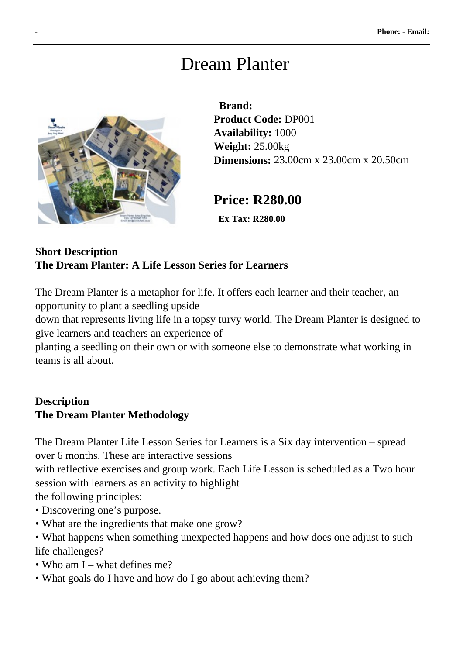# Dream Planter



 **Brand: Product Code:** DP001 **Availability:** 1000 **Weight:** 25.00kg **Dimensions:** 23.00cm x 23.00cm x 20.50cm

# **Price: R280.00**

 **Ex Tax: R280.00** 

#### **Short Description The Dream Planter: A Life Lesson Series for Learners**

The Dream Planter is a metaphor for life. It offers each learner and their teacher, an opportunity to plant a seedling upside

down that represents living life in a topsy turvy world. The Dream Planter is designed to give learners and teachers an experience of

planting a seedling on their own or with someone else to demonstrate what working in teams is all about.

# **Description The Dream Planter Methodology**

The Dream Planter Life Lesson Series for Learners is a Six day intervention – spread over 6 months. These are interactive sessions

with reflective exercises and group work. Each Life Lesson is scheduled as a Two hour session with learners as an activity to highlight

the following principles:

- Discovering one's purpose.
- What are the ingredients that make one grow?
- What happens when something unexpected happens and how does one adjust to such life challenges?
- Who am I what defines me?
- What goals do I have and how do I go about achieving them?